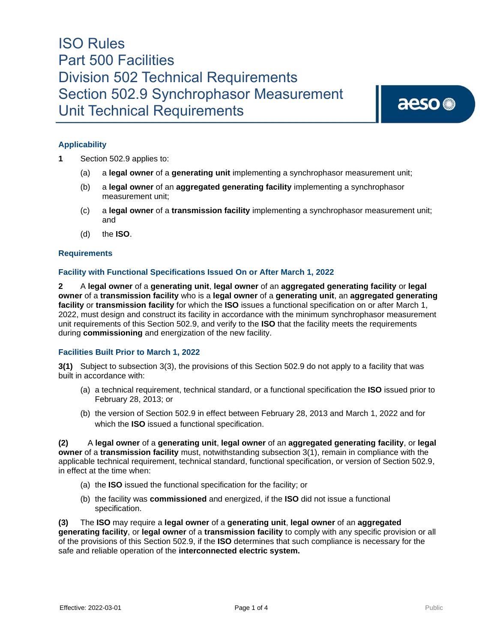aeso<sup>®</sup>

### **Applicability**

- **1** Section 502.9 applies to:
	- (a) a **legal owner** of a **generating unit** implementing a synchrophasor measurement unit;
	- (b) a **legal owner** of an **aggregated generating facility** implementing a synchrophasor measurement unit;
	- (c) a **legal owner** of a **transmission facility** implementing a synchrophasor measurement unit; and
	- (d) the **ISO**.

#### **Requirements**

### **Facility with Functional Specifications Issued On or After March 1, 2022**

**2** A **legal owner** of a **generating unit**, **legal owner** of an **aggregated generating facility** or **legal owner** of a **transmission facility** who is a **legal owner** of a **generating unit**, an **aggregated generating facility** or **transmission facility** for which the **ISO** issues a functional specification on or after March 1, 2022, must design and construct its facility in accordance with the minimum synchrophasor measurement unit requirements of this Section 502.9, and verify to the **ISO** that the facility meets the requirements during **commissioning** and energization of the new facility.

#### **Facilities Built Prior to March 1, 2022**

**3(1)** Subject to subsection 3(3), the provisions of this Section 502.9 do not apply to a facility that was built in accordance with:

- (a) a technical requirement, technical standard, or a functional specification the **ISO** issued prior to February 28, 2013; or
- (b) the version of Section 502.9 in effect between February 28, 2013 and March 1, 2022 and for which the **ISO** issued a functional specification.

**(2)** A **legal owner** of a **generating unit**, **legal owner** of an **aggregated generating facility**, or **legal owner** of a **transmission facility** must, notwithstanding subsection 3(1), remain in compliance with the applicable technical requirement, technical standard, functional specification, or version of Section 502.9, in effect at the time when:

- (a) the **ISO** issued the functional specification for the facility; or
- (b) the facility was **commissioned** and energized, if the **ISO** did not issue a functional specification.

**(3)** The **ISO** may require a **legal owner** of a **generating unit**, **legal owner** of an **aggregated generating facility**, or **legal owner** of a **transmission facility** to comply with any specific provision or all of the provisions of this Section 502.9, if the **ISO** determines that such compliance is necessary for the safe and reliable operation of the **interconnected electric system.**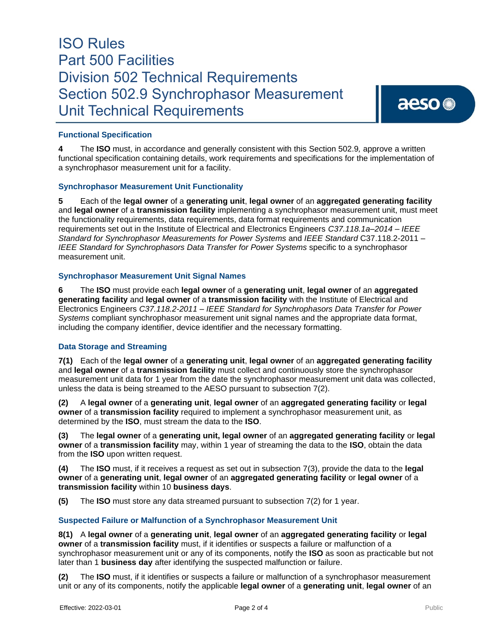### **Functional Specification**

**4** The **ISO** must, in accordance and generally consistent with this Section 502.9*,* approve a written functional specification containing details, work requirements and specifications for the implementation of a synchrophasor measurement unit for a facility.

#### **Synchrophasor Measurement Unit Functionality**

**5** Each of the **legal owner** of a **generating unit**, **legal owner** of an **aggregated generating facility** and **legal owner** of a **transmission facility** implementing a synchrophasor measurement unit, must meet the functionality requirements, data requirements, data format requirements and communication requirements set out in the Institute of Electrical and Electronics Engineers *C37.118.1a–2014 – IEEE Standard for Synchrophasor Measurements for Power Systems* and *IEEE Standard* C37.118.2-2011 – *IEEE Standard for Synchrophasors Data Transfer for Power Systems* specific to a synchrophasor measurement unit.

#### **Synchrophasor Measurement Unit Signal Names**

**6** The **ISO** must provide each **legal owner** of a **generating unit**, **legal owner** of an **aggregated generating facility** and **legal owner** of a **transmission facility** with the Institute of Electrical and Electronics Engineers *C37.118.2-2011 – IEEE Standard for Synchrophasors Data Transfer for Power Systems* compliant synchrophasor measurement unit signal names and the appropriate data format, including the company identifier, device identifier and the necessary formatting.

#### **Data Storage and Streaming**

**7(1)** Each of the **legal owner** of a **generating unit**, **legal owner** of an **aggregated generating facility** and **legal owner** of a **transmission facility** must collect and continuously store the synchrophasor measurement unit data for 1 year from the date the synchrophasor measurement unit data was collected, unless the data is being streamed to the AESO pursuant to subsection 7(2).

**(2)** A **legal owner** of a **generating unit**, **legal owner** of an **aggregated generating facility** or **legal owner** of a **transmission facility** required to implement a synchrophasor measurement unit, as determined by the **ISO**, must stream the data to the **ISO**.

**(3)** The **legal owner** of a **generating unit, legal owner** of an **aggregated generating facility** or **legal owner** of a **transmission facility** may, within 1 year of streaming the data to the **ISO**, obtain the data from the **ISO** upon written request.

**(4)** The **ISO** must, if it receives a request as set out in subsection 7(3), provide the data to the **legal owner** of a **generating unit**, **legal owner** of an **aggregated generating facility** or **legal owner** of a **transmission facility** within 10 **business days**.

**(5)** The **ISO** must store any data streamed pursuant to subsection 7(2) for 1 year.

#### **Suspected Failure or Malfunction of a Synchrophasor Measurement Unit**

**8(1)** A **legal owner** of a **generating unit**, **legal owner** of an **aggregated generating facility** or **legal owner** of a **transmission facility** must, if it identifies or suspects a failure or malfunction of a synchrophasor measurement unit or any of its components, notify the **ISO** as soon as practicable but not later than 1 **business day** after identifying the suspected malfunction or failure.

**(2)** The **ISO** must, if it identifies or suspects a failure or malfunction of a synchrophasor measurement unit or any of its components, notify the applicable **legal owner** of a **generating unit**, **legal owner** of an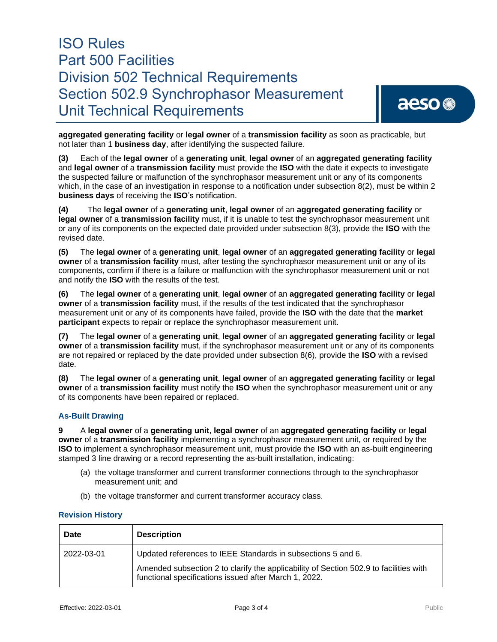**aggregated generating facility** or **legal owner** of a **transmission facility** as soon as practicable, but not later than 1 **business day**, after identifying the suspected failure.

**(3)** Each of the **legal owner** of a **generating unit**, **legal owner** of an **aggregated generating facility** and **legal owner** of a **transmission facility** must provide the **ISO** with the date it expects to investigate the suspected failure or malfunction of the synchrophasor measurement unit or any of its components which, in the case of an investigation in response to a notification under subsection 8(2), must be within 2 **business days** of receiving the **ISO**'s notification.

**(4)** The **legal owner** of a **generating unit**, **legal owner** of an **aggregated generating facility** or **legal owner** of a **transmission facility** must, if it is unable to test the synchrophasor measurement unit or any of its components on the expected date provided under subsection 8(3), provide the **ISO** with the revised date.

**(5)** The **legal owner** of a **generating unit**, **legal owner** of an **aggregated generating facility** or **legal owner** of a **transmission facility** must, after testing the synchrophasor measurement unit or any of its components, confirm if there is a failure or malfunction with the synchrophasor measurement unit or not and notify the **ISO** with the results of the test.

**(6)** The **legal owner** of a **generating unit**, **legal owner** of an **aggregated generating facility** or **legal owner** of a **transmission facility** must, if the results of the test indicated that the synchrophasor measurement unit or any of its components have failed, provide the **ISO** with the date that the **market participant** expects to repair or replace the synchrophasor measurement unit.

**(7)** The **legal owner** of a **generating unit**, **legal owner** of an **aggregated generating facility** or **legal owner** of a **transmission facility** must, if the synchrophasor measurement unit or any of its components are not repaired or replaced by the date provided under subsection 8(6), provide the **ISO** with a revised date.

**(8)** The **legal owner** of a **generating unit**, **legal owner** of an **aggregated generating facility** or **legal owner** of a **transmission facility** must notify the **ISO** when the synchrophasor measurement unit or any of its components have been repaired or replaced.

### **As-Built Drawing**

**9** A **legal owner** of a **generating unit**, **legal owner** of an **aggregated generating facility** or **legal owner** of a **transmission facility** implementing a synchrophasor measurement unit, or required by the **ISO** to implement a synchrophasor measurement unit, must provide the **ISO** with an as-built engineering stamped 3 line drawing or a record representing the as-built installation, indicating:

- (a) the voltage transformer and current transformer connections through to the synchrophasor measurement unit; and
- (b) the voltage transformer and current transformer accuracy class.

#### **Revision History**

| <b>Date</b> | <b>Description</b>                                                                                                                                                                                             |
|-------------|----------------------------------------------------------------------------------------------------------------------------------------------------------------------------------------------------------------|
| 2022-03-01  | Updated references to IEEE Standards in subsections 5 and 6.<br>Amended subsection 2 to clarify the applicability of Section 502.9 to facilities with<br>functional specifications issued after March 1, 2022. |